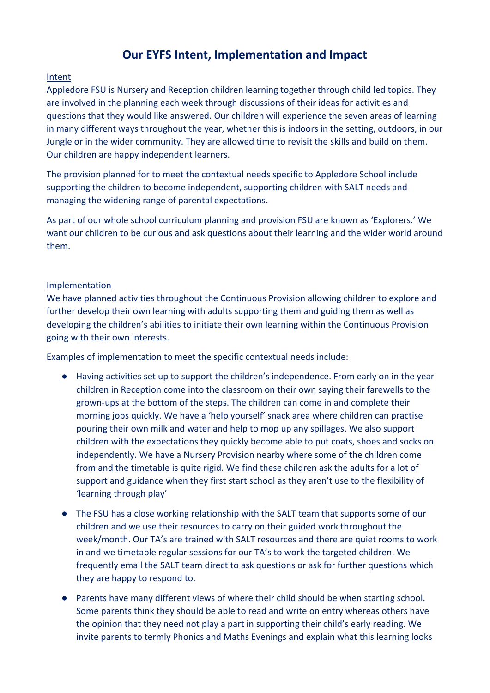## **Our EYFS Intent, Implementation and Impact**

## Intent

Appledore FSU is Nursery and Reception children learning together through child led topics. They are involved in the planning each week through discussions of their ideas for activities and questions that they would like answered. Our children will experience the seven areas of learning in many different ways throughout the year, whether this is indoors in the setting, outdoors, in our Jungle or in the wider community. They are allowed time to revisit the skills and build on them. Our children are happy independent learners.

The provision planned for to meet the contextual needs specific to Appledore School include supporting the children to become independent, supporting children with SALT needs and managing the widening range of parental expectations.

As part of our whole school curriculum planning and provision FSU are known as 'Explorers.' We want our children to be curious and ask questions about their learning and the wider world around them.

## Implementation

We have planned activities throughout the Continuous Provision allowing children to explore and further develop their own learning with adults supporting them and guiding them as well as developing the children's abilities to initiate their own learning within the Continuous Provision going with their own interests.

Examples of implementation to meet the specific contextual needs include:

- Having activities set up to support the children's independence. From early on in the year children in Reception come into the classroom on their own saying their farewells to the grown-ups at the bottom of the steps. The children can come in and complete their morning jobs quickly. We have a 'help yourself' snack area where children can practise pouring their own milk and water and help to mop up any spillages. We also support children with the expectations they quickly become able to put coats, shoes and socks on independently. We have a Nursery Provision nearby where some of the children come from and the timetable is quite rigid. We find these children ask the adults for a lot of support and guidance when they first start school as they aren't use to the flexibility of 'learning through play'
- The FSU has a close working relationship with the SALT team that supports some of our children and we use their resources to carry on their guided work throughout the week/month. Our TA's are trained with SALT resources and there are quiet rooms to work in and we timetable regular sessions for our TA's to work the targeted children. We frequently email the SALT team direct to ask questions or ask for further questions which they are happy to respond to.
- Parents have many different views of where their child should be when starting school. Some parents think they should be able to read and write on entry whereas others have the opinion that they need not play a part in supporting their child's early reading. We invite parents to termly Phonics and Maths Evenings and explain what this learning looks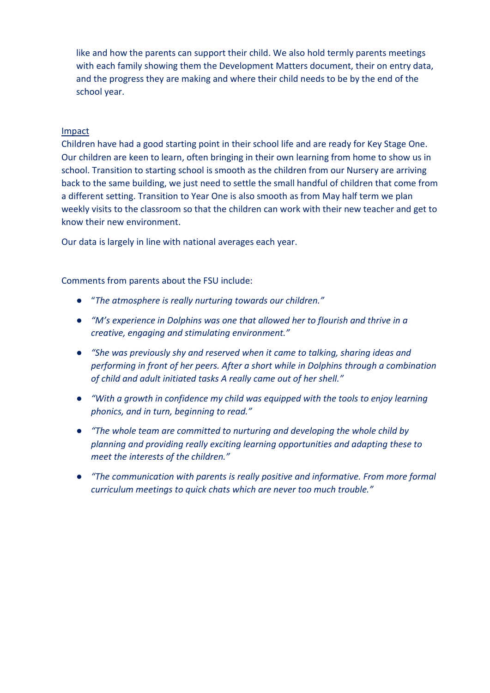like and how the parents can support their child. We also hold termly parents meetings with each family showing them the Development Matters document, their on entry data, and the progress they are making and where their child needs to be by the end of the school year.

#### Impact

Children have had a good starting point in their school life and are ready for Key Stage One. Our children are keen to learn, often bringing in their own learning from home to show us in school. Transition to starting school is smooth as the children from our Nursery are arriving back to the same building, we just need to settle the small handful of children that come from a different setting. Transition to Year One is also smooth as from May half term we plan weekly visits to the classroom so that the children can work with their new teacher and get to know their new environment.

Our data is largely in line with national averages each year.

Comments from parents about the FSU include:

- "*The atmosphere is really nurturing towards our children."*
- *"M's experience in Dolphins was one that allowed her to flourish and thrive in a creative, engaging and stimulating environment."*
- *"She was previously shy and reserved when it came to talking, sharing ideas and performing in front of her peers. After a short while in Dolphins through a combination of child and adult initiated tasks A really came out of her shell."*
- *"With a growth in confidence my child was equipped with the tools to enjoy learning phonics, and in turn, beginning to read."*
- *"The whole team are committed to nurturing and developing the whole child by planning and providing really exciting learning opportunities and adapting these to meet the interests of the children."*
- *"The communication with parents is really positive and informative. From more formal curriculum meetings to quick chats which are never too much trouble."*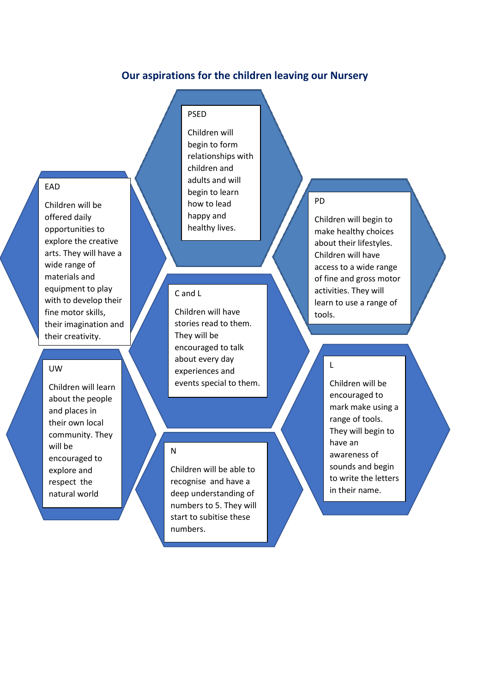## **Our aspirations for the children leaving our Nursery**

## EAD

Children will be offered daily opportunities to explore the creative arts. They will have a wide range of materials and equipment to play with to develop their fine motor skills, their imagination and their creativity.

#### UW

Children will learn about the people and places in their own local community. They will be encouraged to explore and respect the natural world

## PSED

Children will begin to form relationships with children and adults and will begin to learn how to lead happy and healthy lives.

## C and L

Children will have stories read to them. They will be encouraged to talk about every day experiences and events special to them.

#### N

Children will be able to recognise and have a deep understanding of numbers to 5. They will start to subitise these numbers.

#### PD

L

Children will begin to make healthy choices about their lifestyles. Children will have access to a wide range of fine and gross motor activities. They will learn to use a range of tools.

> Children will be encouraged to mark make using a range of tools. They will begin to have an awareness of sounds and begin to write the letters in their name.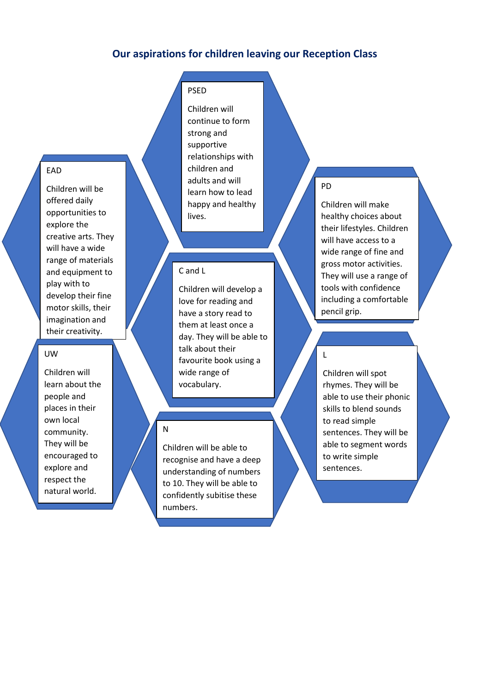## **Our aspirations for children leaving our Reception Class**

#### EAD

Children will be offered daily opportunities to explore the creative arts. They will have a wide range of materials and equipment to play with to develop their fine motor skills, their imagination and their creativity.

#### UW

Children will learn about the people and places in their own local community. They will be encouraged to explore and respect the natural world.

## PSED

Children will continue to form strong and supportive relationships with children and adults and will learn how to lead happy and healthy lives.

#### C and L

Children will develop a love for reading and have a story read to them at least once a day. They will be able to talk about their favourite book using a wide range of vocabulary.

Children will be able to recognise and have a deep understanding of numbers to 10. They will be able to confidently subitise these numbers.

N

#### PD

L

Children will make healthy choices about their lifestyles. Children will have access to a wide range of fine and gross motor activities. They will use a range of tools with confidence including a comfortable pencil grip.

Children will spot rhymes. They will be able to use their phonic skills to blend sounds to read simple sentences. They will be able to segment words to write simple sentences.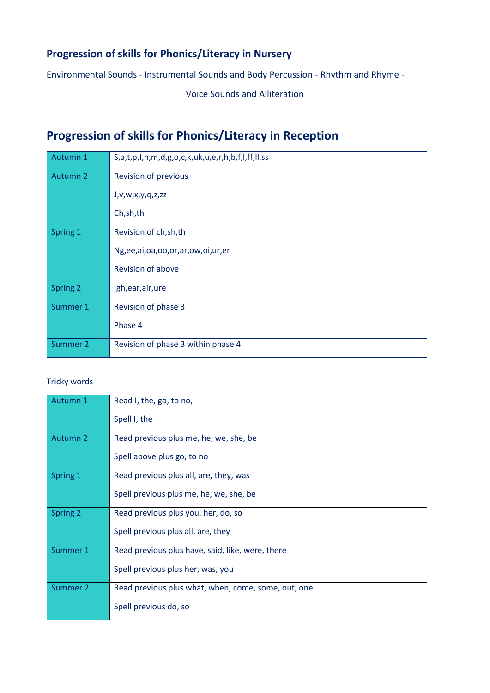## **Progression of skills for Phonics/Literacy in Nursery**

Environmental Sounds - Instrumental Sounds and Body Percussion - Rhythm and Rhyme -

Voice Sounds and Alliteration

# **Progression of skills for Phonics/Literacy in Reception**

| Autumn 1 | S,a,t,p,I,n,m,d,g,o,c,k,uk,u,e,r,h,b,f,l,ff,ll,ss |
|----------|---------------------------------------------------|
| Autumn 2 | <b>Revision of previous</b>                       |
|          | J, v, w, x, y, q, z, zz                           |
|          | Ch, sh, th                                        |
| Spring 1 | Revision of ch, sh, th                            |
|          | Ng,ee,ai,oa,oo,or,ar,ow,oi,ur,er                  |
|          | Revision of above                                 |
| Spring 2 | Igh, ear, air, ure                                |
| Summer 1 | Revision of phase 3                               |
|          | Phase 4                                           |
| Summer 2 | Revision of phase 3 within phase 4                |

## Tricky words

| Autumn 1        | Read I, the, go, to no,                             |
|-----------------|-----------------------------------------------------|
|                 | Spell I, the                                        |
| <b>Autumn 2</b> | Read previous plus me, he, we, she, be              |
|                 | Spell above plus go, to no                          |
| Spring 1        | Read previous plus all, are, they, was              |
|                 | Spell previous plus me, he, we, she, be             |
| <b>Spring 2</b> | Read previous plus you, her, do, so                 |
|                 | Spell previous plus all, are, they                  |
| Summer 1        | Read previous plus have, said, like, were, there    |
|                 | Spell previous plus her, was, you                   |
| Summer 2        | Read previous plus what, when, come, some, out, one |
|                 | Spell previous do, so                               |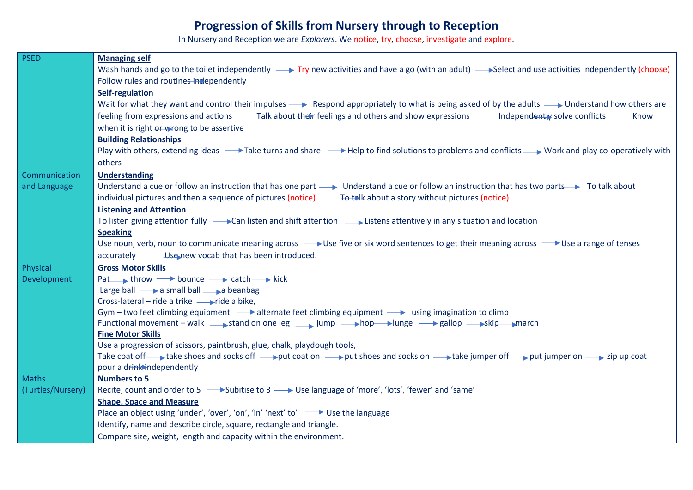# **Progression of Skills from Nursery through to Reception**

In Nursery and Reception we are *Explorers*. We notice, try, choose, investigate and explore.

| <b>PSED</b>       | <b>Managing self</b>                                                                                                                                                                                                                                      |
|-------------------|-----------------------------------------------------------------------------------------------------------------------------------------------------------------------------------------------------------------------------------------------------------|
|                   | Wash hands and go to the toilet independently $\longrightarrow$ Try new activities and have a go (with an adult) $\longrightarrow$ Select and use activities independently (choose)                                                                       |
|                   | Follow rules and routines in dependently                                                                                                                                                                                                                  |
|                   | Self-regulation                                                                                                                                                                                                                                           |
|                   | Wait for what they want and control their impulses - Respond appropriately to what is being asked of by the adults - Understand how others are                                                                                                            |
|                   | feeling from expressions and actions<br>Talk about their feelings and others and show expressions<br>Independently solve conflicts<br>Know                                                                                                                |
|                   | when it is right or wrong to be assertive                                                                                                                                                                                                                 |
|                   | <b>Building Relationships</b>                                                                                                                                                                                                                             |
|                   | Play with others, extending ideas → Take turns and share → Help to find solutions to problems and conflicts → Work and play co-operatively with                                                                                                           |
|                   | others                                                                                                                                                                                                                                                    |
| Communication     | <b>Understanding</b>                                                                                                                                                                                                                                      |
| and Language      | Understand a cue or follow an instruction that has one part ___ Understand a cue or follow an instruction that has two parts To talk about                                                                                                                |
|                   | individual pictures and then a sequence of pictures (notice)<br>To talk about a story without pictures (notice)                                                                                                                                           |
|                   | <b>Listening and Attention</b>                                                                                                                                                                                                                            |
|                   | To listen giving attention fully $\longrightarrow$ Can listen and shift attention $\longrightarrow$ Listens attentively in any situation and location                                                                                                     |
|                   | <b>Speaking</b>                                                                                                                                                                                                                                           |
|                   | Use noun, verb, noun to communicate meaning across $\longrightarrow$ Use five or six word sentences to get their meaning across $\longrightarrow$ Use a range of tenses                                                                                   |
|                   | accurately<br>Use new vocab that has been introduced.                                                                                                                                                                                                     |
| Physical          | <b>Gross Motor Skills</b>                                                                                                                                                                                                                                 |
| Development       | Pat throw bounce $\rightarrow$ catch $\rightarrow$ kick                                                                                                                                                                                                   |
|                   | Large ball $\longrightarrow$ a small ball $\longrightarrow$ a beanbag                                                                                                                                                                                     |
|                   | Cross-lateral – ride a trike — ride a bike,                                                                                                                                                                                                               |
|                   | Gym – two feet climbing equipment $\longrightarrow$ alternate feet climbing equipment $\longrightarrow$ using imagination to climb                                                                                                                        |
|                   | Functional movement - walk stand on one leg stand point by jump - hop blunge - and pallop - skip march                                                                                                                                                    |
|                   | <b>Fine Motor Skills</b>                                                                                                                                                                                                                                  |
|                   | Use a progression of scissors, paintbrush, glue, chalk, playdough tools,<br>Take coat off a take shoes and socks off a put coat on $\longrightarrow$ put shoes and socks on $\longrightarrow$ take jumper off put jumper on $\longrightarrow$ zip up coat |
|                   | pour a drink independently                                                                                                                                                                                                                                |
| <b>Maths</b>      | <b>Numbers to 5</b>                                                                                                                                                                                                                                       |
| (Turtles/Nursery) | Recite, count and order to 5 -8 Subitise to 3 -8 Use language of 'more', 'lots', 'fewer' and 'same'                                                                                                                                                       |
|                   | <b>Shape, Space and Measure</b>                                                                                                                                                                                                                           |
|                   | Place an object using 'under', 'over', 'on', 'in' 'next' to' → Use the language                                                                                                                                                                           |
|                   | Identify, name and describe circle, square, rectangle and triangle.                                                                                                                                                                                       |
|                   | Compare size, weight, length and capacity within the environment.                                                                                                                                                                                         |